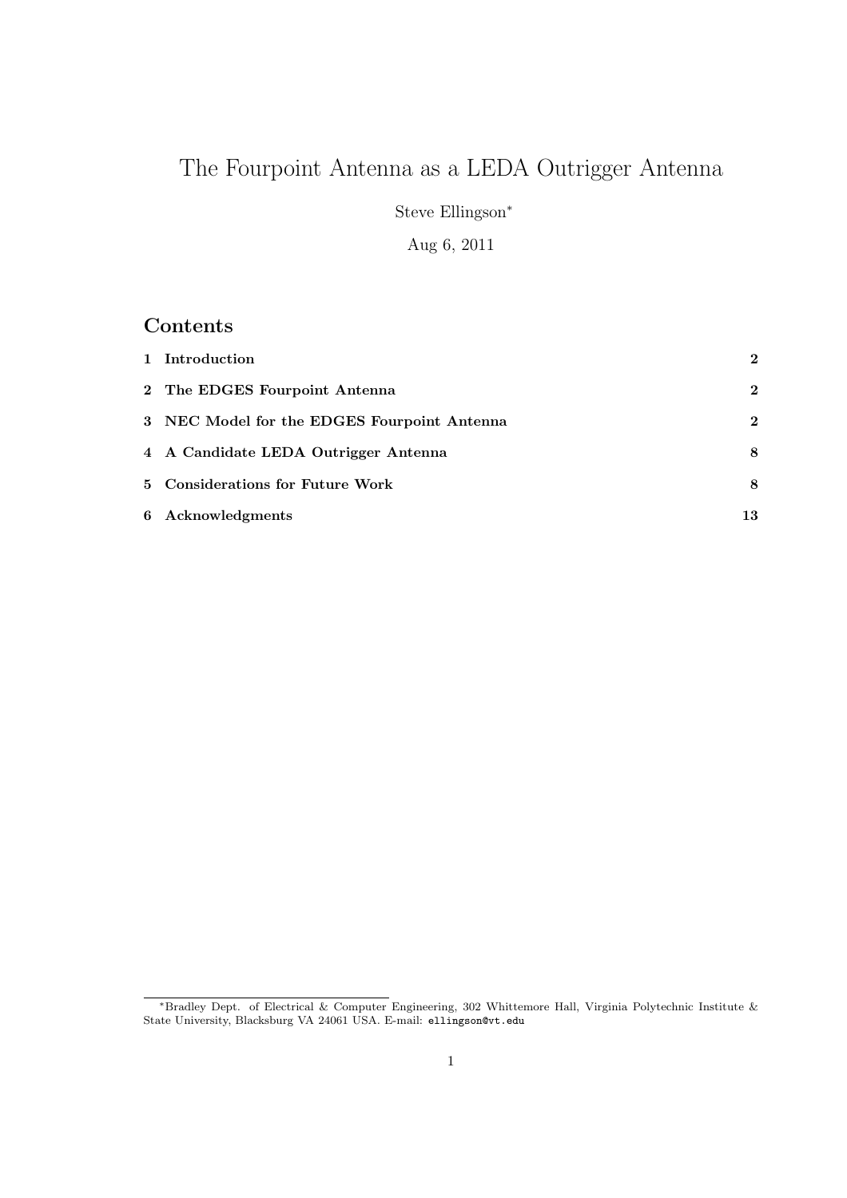# The Fourpoint Antenna as a LEDA Outrigger Antenna

Steve Ellingson<sup>∗</sup>

Aug 6, 2011

### Contents

| 1 Introduction                              | $\mathbf{2}$ |
|---------------------------------------------|--------------|
| 2 The EDGES Fourpoint Antenna               | $\mathbf{2}$ |
| 3 NEC Model for the EDGES Fourpoint Antenna | $\mathbf{2}$ |
| 4 A Candidate LEDA Outrigger Antenna        | 8            |
| 5 Considerations for Future Work            | 8            |
| 6 Acknowledgments                           | 13           |

<sup>∗</sup>Bradley Dept. of Electrical & Computer Engineering, 302 Whittemore Hall, Virginia Polytechnic Institute & State University, Blacksburg VA 24061 USA. E-mail: ellingson@vt.edu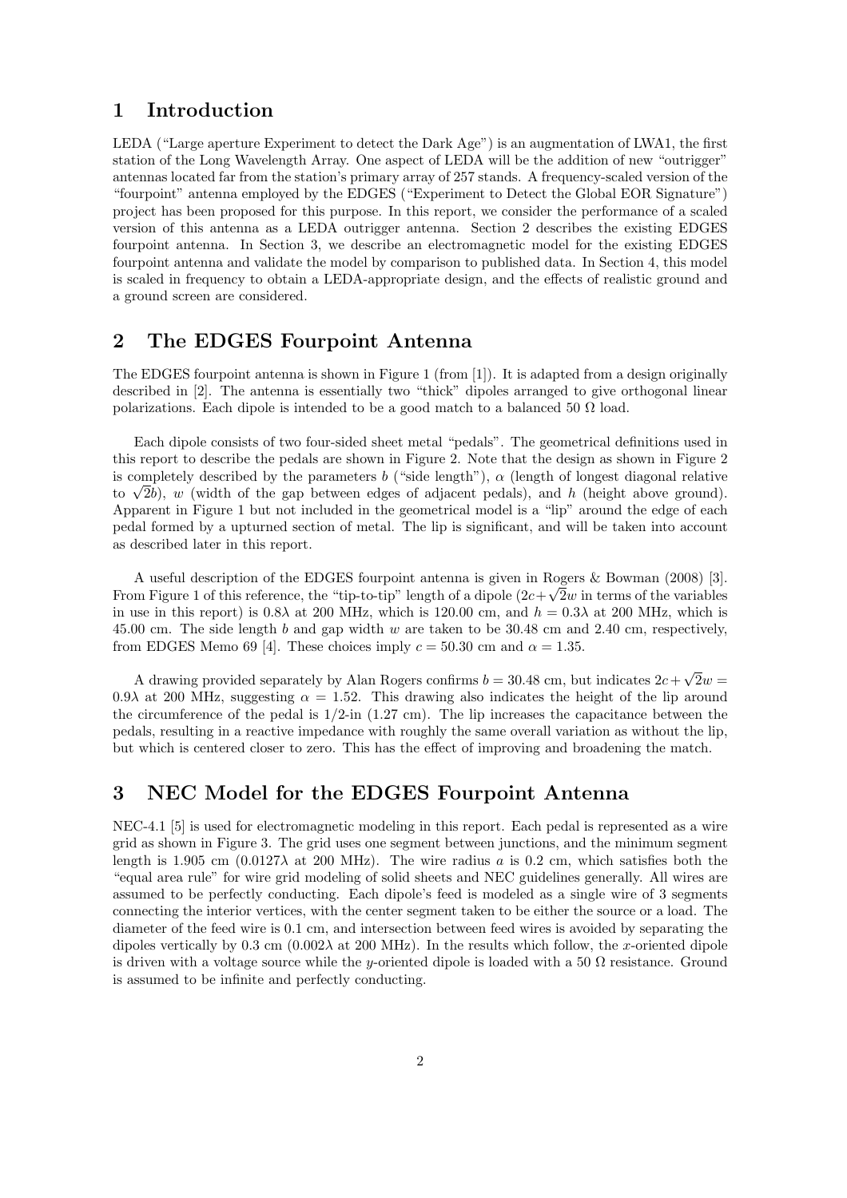#### 1 Introduction

LEDA ("Large aperture Experiment to detect the Dark Age") is an augmentation of LWA1, the first station of the Long Wavelength Array. One aspect of LEDA will be the addition of new "outrigger" antennas located far from the station's primary array of 257 stands. A frequency-scaled version of the "fourpoint" antenna employed by the EDGES ("Experiment to Detect the Global EOR Signature") project has been proposed for this purpose. In this report, we consider the performance of a scaled version of this antenna as a LEDA outrigger antenna. Section 2 describes the existing EDGES fourpoint antenna. In Section 3, we describe an electromagnetic model for the existing EDGES fourpoint antenna and validate the model by comparison to published data. In Section 4, this model is scaled in frequency to obtain a LEDA-appropriate design, and the effects of realistic ground and a ground screen are considered.

#### 2 The EDGES Fourpoint Antenna

The EDGES fourpoint antenna is shown in Figure 1 (from [1]). It is adapted from a design originally described in [2]. The antenna is essentially two "thick" dipoles arranged to give orthogonal linear polarizations. Each dipole is intended to be a good match to a balanced 50  $\Omega$  load.

Each dipole consists of two four-sided sheet metal "pedals". The geometrical definitions used in this report to describe the pedals are shown in Figure 2. Note that the design as shown in Figure 2 is completely described by the parameters b ("side length"),  $\alpha$  (length of longest diagonal relative to  $\sqrt{2}b$ ), w (width of the gap between edges of adjacent pedals), and h (height above ground). Apparent in Figure 1 but not included in the geometrical model is a "lip" around the edge of each pedal formed by a upturned section of metal. The lip is significant, and will be taken into account as described later in this report.

A useful description of the EDGES fourpoint antenna is given in Rogers & Bowman (2008) [3]. From Figure 1 of this reference, the "tip-to-tip" length of a dipole  $(2c+\sqrt{2}w$  in terms of the variables in use in this report) is  $0.8\lambda$  at 200 MHz, which is 120.00 cm, and  $h = 0.3\lambda$  at 200 MHz, which is 45.00 cm. The side length b and gap width w are taken to be 30.48 cm and 2.40 cm, respectively, from EDGES Memo 69 [4]. These choices imply  $c = 50.30$  cm and  $\alpha = 1.35$ .

A drawing provided separately by Alan Rogers confirms  $b = 30.48$  cm, but indicates  $2c + \sqrt{2}w =$ 0.9λ at 200 MHz, suggesting  $\alpha = 1.52$ . This drawing also indicates the height of the lip around the circumference of the pedal is  $1/2$ -in  $(1.27 \text{ cm})$ . The lip increases the capacitance between the pedals, resulting in a reactive impedance with roughly the same overall variation as without the lip, but which is centered closer to zero. This has the effect of improving and broadening the match.

#### 3 NEC Model for the EDGES Fourpoint Antenna

NEC-4.1 [5] is used for electromagnetic modeling in this report. Each pedal is represented as a wire grid as shown in Figure 3. The grid uses one segment between junctions, and the minimum segment length is 1.905 cm  $(0.0127\lambda \text{ at } 200 \text{ MHz})$ . The wire radius a is 0.2 cm, which satisfies both the "equal area rule" for wire grid modeling of solid sheets and NEC guidelines generally. All wires are assumed to be perfectly conducting. Each dipole's feed is modeled as a single wire of 3 segments connecting the interior vertices, with the center segment taken to be either the source or a load. The diameter of the feed wire is 0.1 cm, and intersection between feed wires is avoided by separating the dipoles vertically by  $0.3 \text{ cm } (0.002\lambda \text{ at } 200 \text{ MHz})$ . In the results which follow, the x-oriented dipole is driven with a voltage source while the y-oriented dipole is loaded with a 50  $\Omega$  resistance. Ground is assumed to be infinite and perfectly conducting.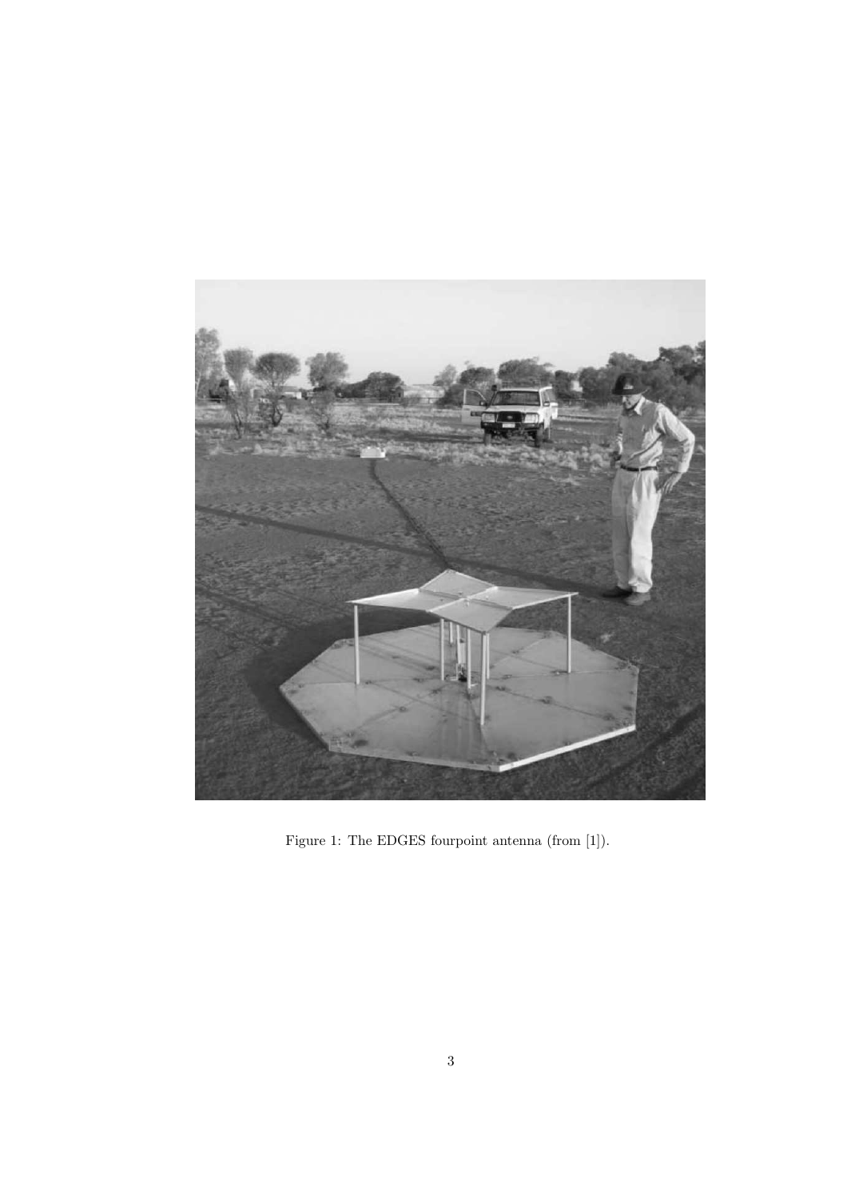

Figure 1: The EDGES fourpoint antenna (from [1]).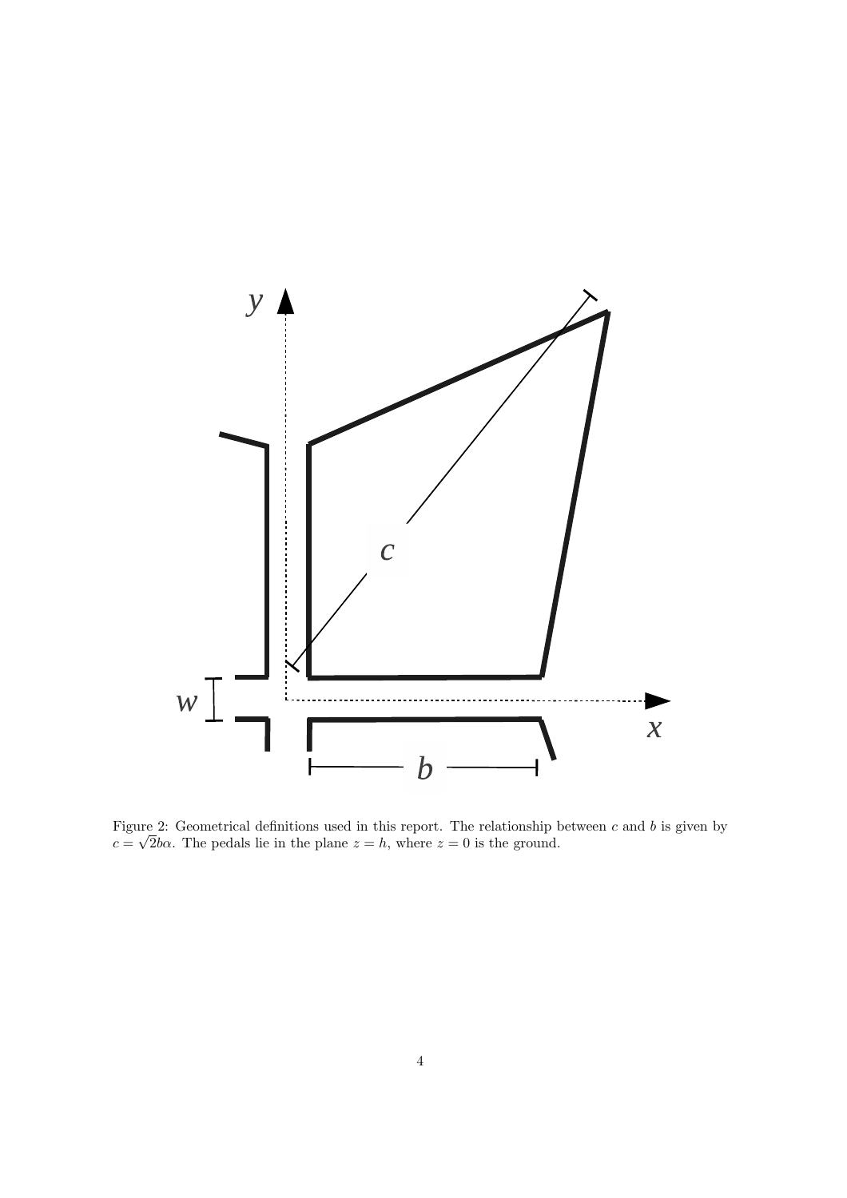

Figure 2: Geometrical definitions used in this report. The relationship between c and b is given by  $c = \sqrt{2}b\alpha$ . The pedals lie in the plane  $z = h$ , where  $z = 0$  is the ground.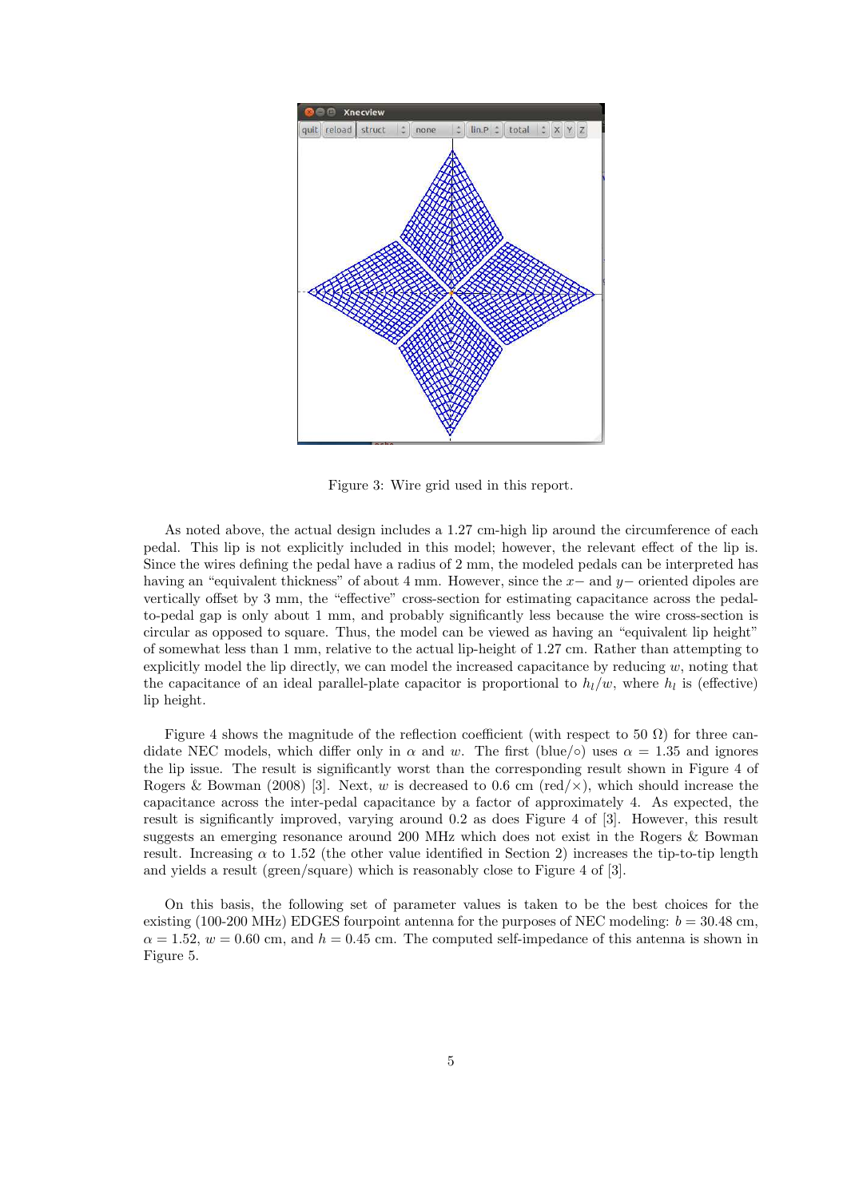

Figure 3: Wire grid used in this report.

As noted above, the actual design includes a 1.27 cm-high lip around the circumference of each pedal. This lip is not explicitly included in this model; however, the relevant effect of the lip is. Since the wires defining the pedal have a radius of 2 mm, the modeled pedals can be interpreted has having an "equivalent thickness" of about 4 mm. However, since the  $x-$  and  $y-$  oriented dipoles are vertically offset by 3 mm, the "effective" cross-section for estimating capacitance across the pedalto-pedal gap is only about 1 mm, and probably significantly less because the wire cross-section is circular as opposed to square. Thus, the model can be viewed as having an "equivalent lip height" of somewhat less than 1 mm, relative to the actual lip-height of 1.27 cm. Rather than attempting to explicitly model the lip directly, we can model the increased capacitance by reducing  $w$ , noting that the capacitance of an ideal parallel-plate capacitor is proportional to  $h_l/w$ , where  $h_l$  is (effective) lip height.

Figure 4 shows the magnitude of the reflection coefficient (with respect to 50  $\Omega$ ) for three candidate NEC models, which differ only in  $\alpha$  and w. The first (blue/∘) uses  $\alpha = 1.35$  and ignores the lip issue. The result is significantly worst than the corresponding result shown in Figure 4 of Rogers & Bowman (2008) [3]. Next, w is decreased to 0.6 cm (red/ $\times$ ), which should increase the capacitance across the inter-pedal capacitance by a factor of approximately 4. As expected, the result is significantly improved, varying around 0.2 as does Figure 4 of [3]. However, this result suggests an emerging resonance around 200 MHz which does not exist in the Rogers & Bowman result. Increasing  $\alpha$  to 1.52 (the other value identified in Section 2) increases the tip-to-tip length and yields a result (green/square) which is reasonably close to Figure 4 of [3].

On this basis, the following set of parameter values is taken to be the best choices for the existing (100-200 MHz) EDGES fourpoint antenna for the purposes of NEC modeling:  $b = 30.48$  cm,  $\alpha = 1.52$ ,  $w = 0.60$  cm, and  $h = 0.45$  cm. The computed self-impedance of this antenna is shown in Figure 5.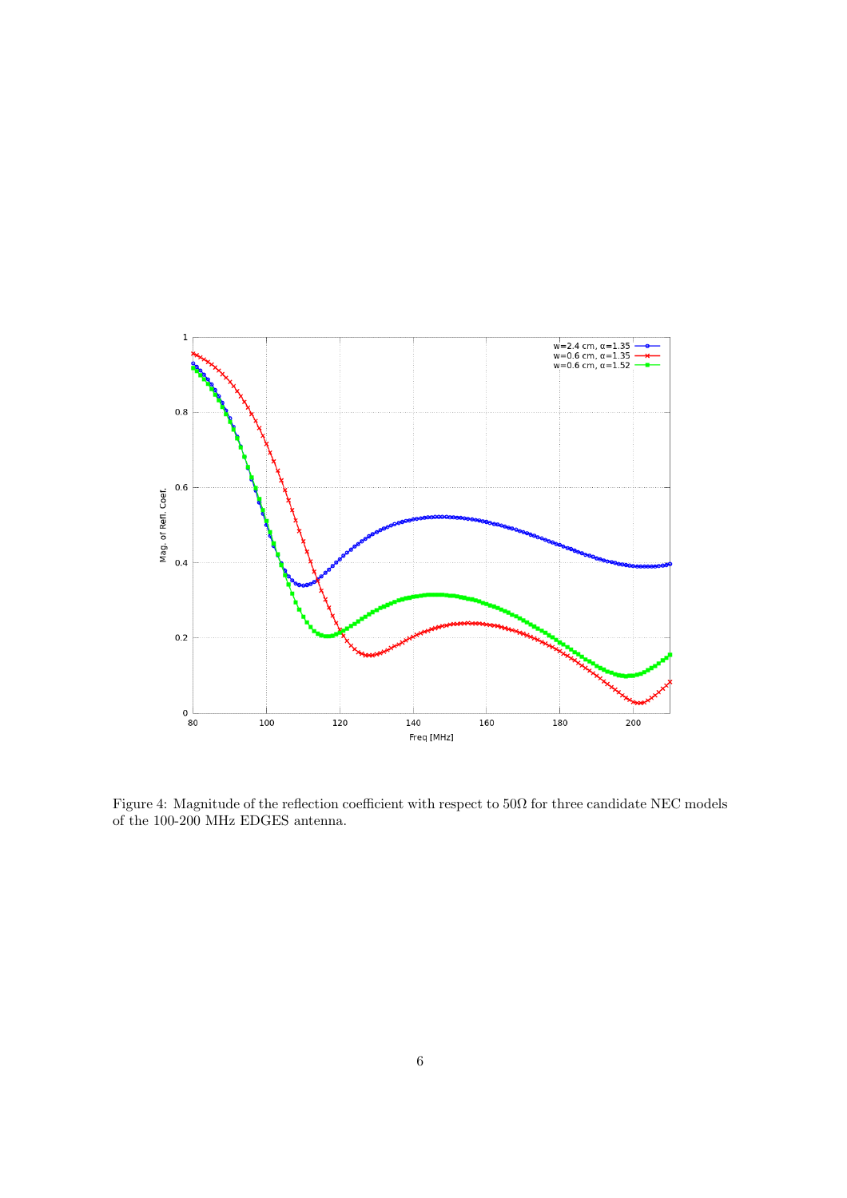

Figure 4: Magnitude of the reflection coefficient with respect to  $50\Omega$  for three candidate NEC models of the 100-200 MHz EDGES antenna.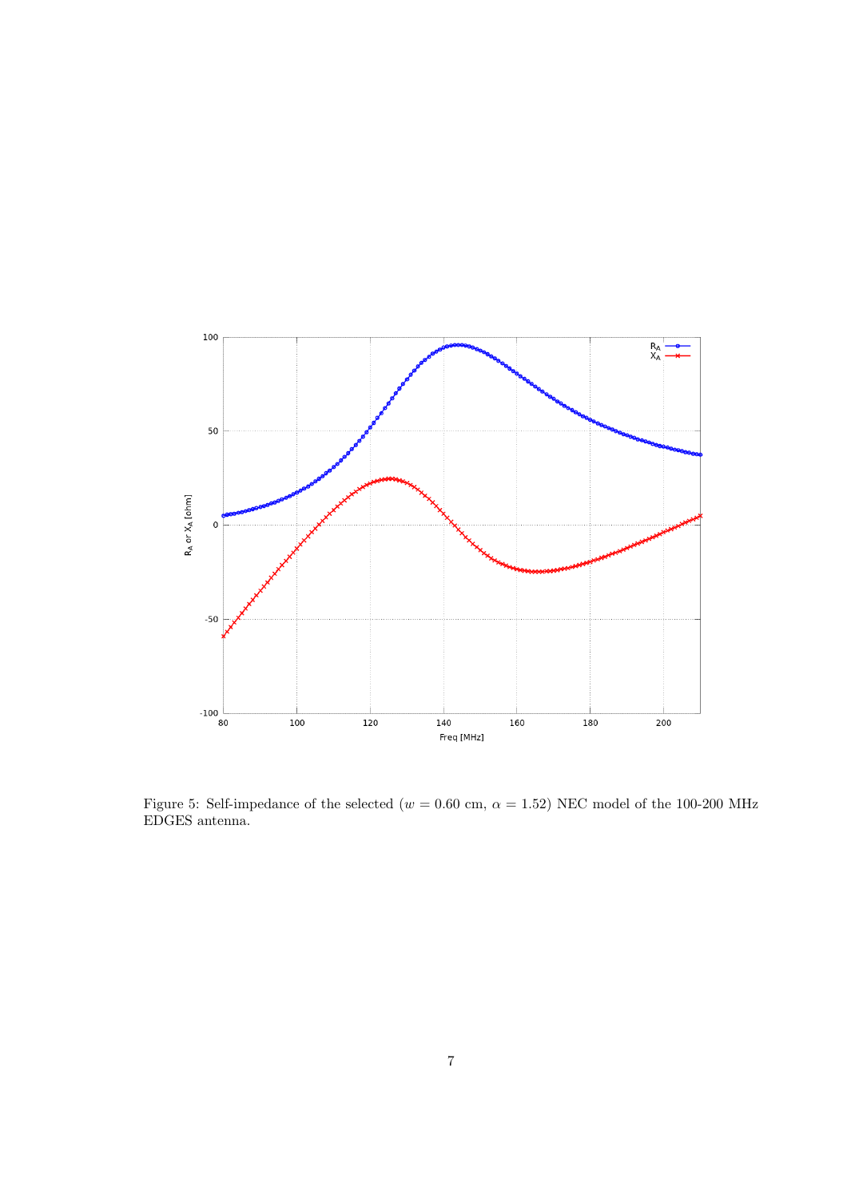

Figure 5: Self-impedance of the selected ( $w = 0.60$  cm,  $\alpha = 1.52$ ) NEC model of the 100-200 MHz EDGES antenna.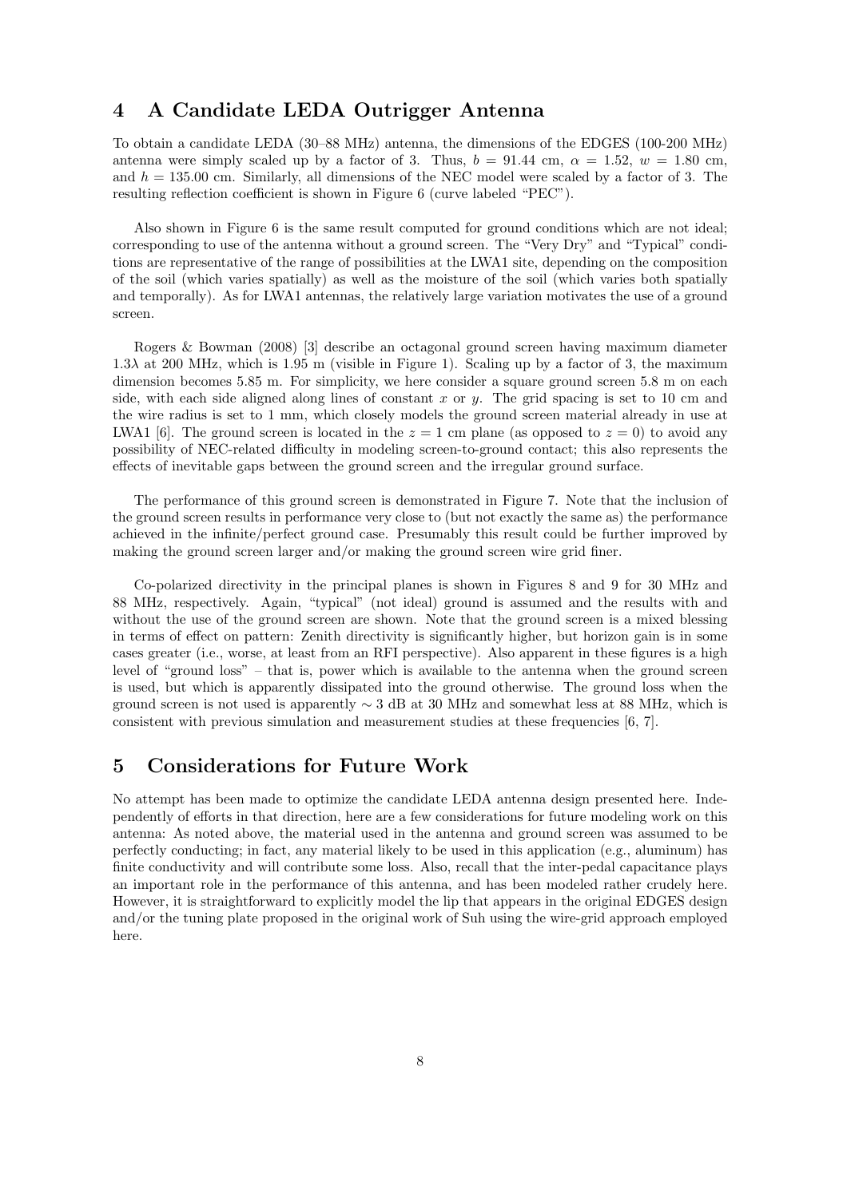#### 4 A Candidate LEDA Outrigger Antenna

To obtain a candidate LEDA (30–88 MHz) antenna, the dimensions of the EDGES (100-200 MHz) antenna were simply scaled up by a factor of 3. Thus,  $b = 91.44$  cm,  $\alpha = 1.52$ ,  $w = 1.80$  cm, and  $h = 135.00$  cm. Similarly, all dimensions of the NEC model were scaled by a factor of 3. The resulting reflection coefficient is shown in Figure 6 (curve labeled "PEC").

Also shown in Figure 6 is the same result computed for ground conditions which are not ideal; corresponding to use of the antenna without a ground screen. The "Very Dry" and "Typical" conditions are representative of the range of possibilities at the LWA1 site, depending on the composition of the soil (which varies spatially) as well as the moisture of the soil (which varies both spatially and temporally). As for LWA1 antennas, the relatively large variation motivates the use of a ground screen.

Rogers & Bowman (2008) [3] describe an octagonal ground screen having maximum diameter  $1.3\lambda$  at 200 MHz, which is 1.95 m (visible in Figure 1). Scaling up by a factor of 3, the maximum dimension becomes 5.85 m. For simplicity, we here consider a square ground screen 5.8 m on each side, with each side aligned along lines of constant x or y. The grid spacing is set to 10 cm and the wire radius is set to 1 mm, which closely models the ground screen material already in use at LWA1 [6]. The ground screen is located in the  $z = 1$  cm plane (as opposed to  $z = 0$ ) to avoid any possibility of NEC-related difficulty in modeling screen-to-ground contact; this also represents the effects of inevitable gaps between the ground screen and the irregular ground surface.

The performance of this ground screen is demonstrated in Figure 7. Note that the inclusion of the ground screen results in performance very close to (but not exactly the same as) the performance achieved in the infinite/perfect ground case. Presumably this result could be further improved by making the ground screen larger and/or making the ground screen wire grid finer.

Co-polarized directivity in the principal planes is shown in Figures 8 and 9 for 30 MHz and 88 MHz, respectively. Again, "typical" (not ideal) ground is assumed and the results with and without the use of the ground screen are shown. Note that the ground screen is a mixed blessing in terms of effect on pattern: Zenith directivity is significantly higher, but horizon gain is in some cases greater (i.e., worse, at least from an RFI perspective). Also apparent in these figures is a high level of "ground loss" – that is, power which is available to the antenna when the ground screen is used, but which is apparently dissipated into the ground otherwise. The ground loss when the ground screen is not used is apparently  $\sim 3$  dB at 30 MHz and somewhat less at 88 MHz, which is consistent with previous simulation and measurement studies at these frequencies [6, 7].

#### 5 Considerations for Future Work

No attempt has been made to optimize the candidate LEDA antenna design presented here. Independently of efforts in that direction, here are a few considerations for future modeling work on this antenna: As noted above, the material used in the antenna and ground screen was assumed to be perfectly conducting; in fact, any material likely to be used in this application (e.g., aluminum) has finite conductivity and will contribute some loss. Also, recall that the inter-pedal capacitance plays an important role in the performance of this antenna, and has been modeled rather crudely here. However, it is straightforward to explicitly model the lip that appears in the original EDGES design and/or the tuning plate proposed in the original work of Suh using the wire-grid approach employed here.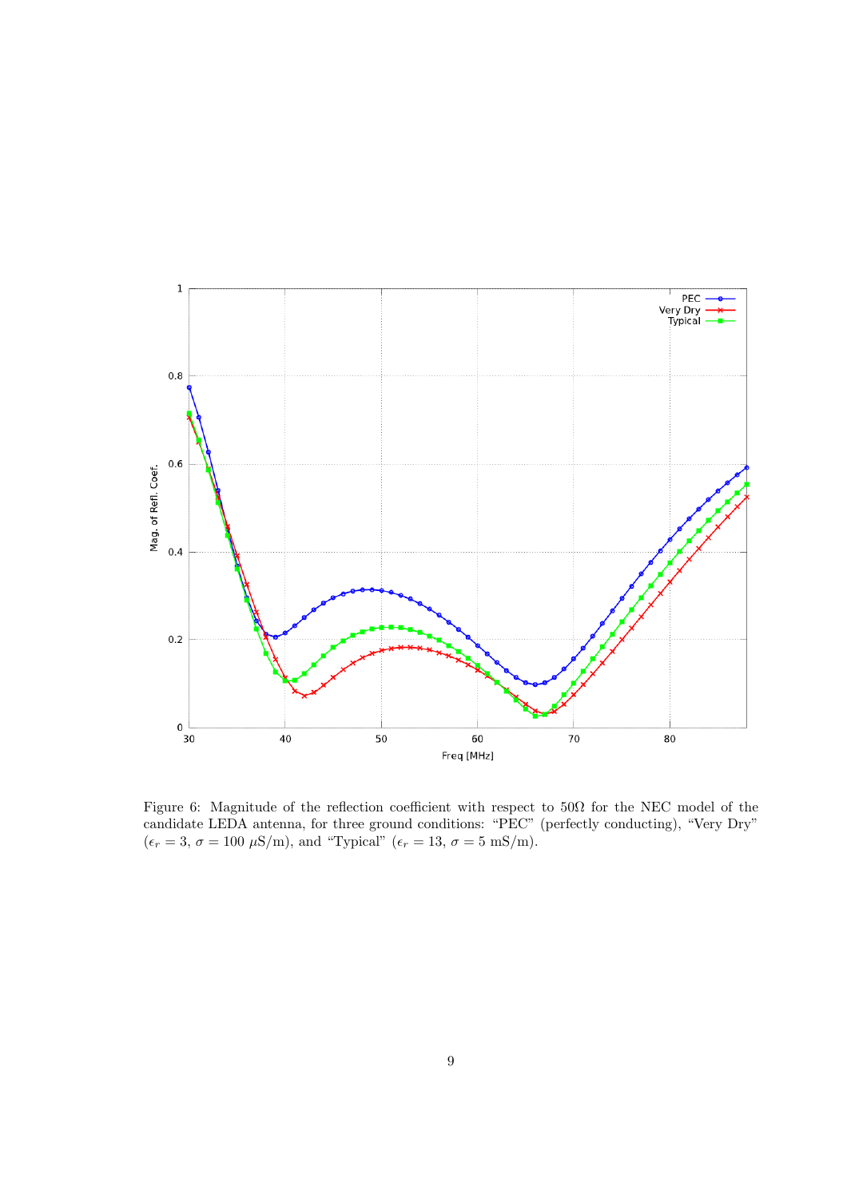

Figure 6: Magnitude of the reflection coefficient with respect to 50Ω for the NEC model of the candidate LEDA antenna, for three ground conditions: "PEC" (perfectly conducting), "Very Dry"  $(\epsilon_r = 3, \sigma = 100 \text{ }\mu\text{S/m})$ , and "Typical"  $(\epsilon_r = 13, \sigma = 5 \text{ mS/m})$ .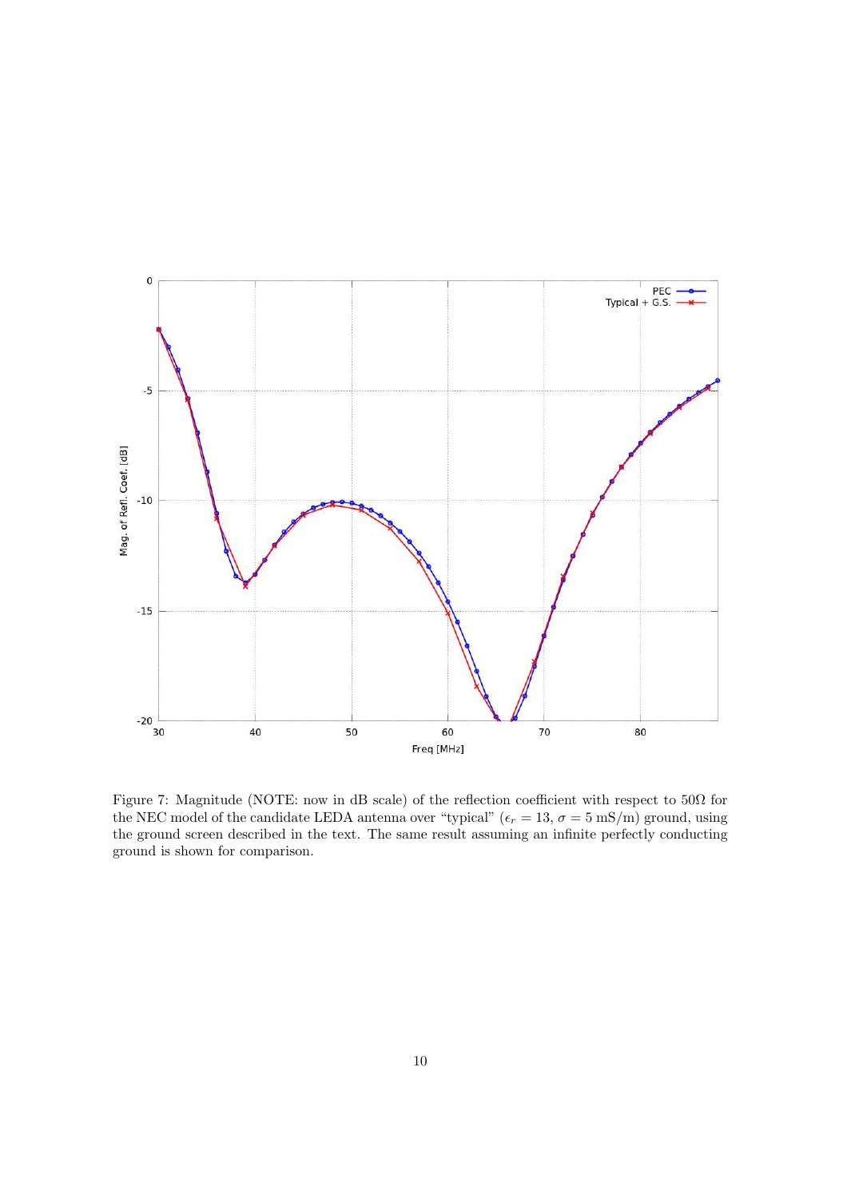

Figure 7: Magnitude (NOTE: now in dB scale) of the reflection coefficient with respect to  $50\Omega$  for the NEC model of the candidate LEDA antenna over "typical" ( $\epsilon_r = 13$ ,  $\sigma = 5$  mS/m) ground, using the ground screen described in the text. The same result assuming an infinite perfectly conducting ground is shown for comparison.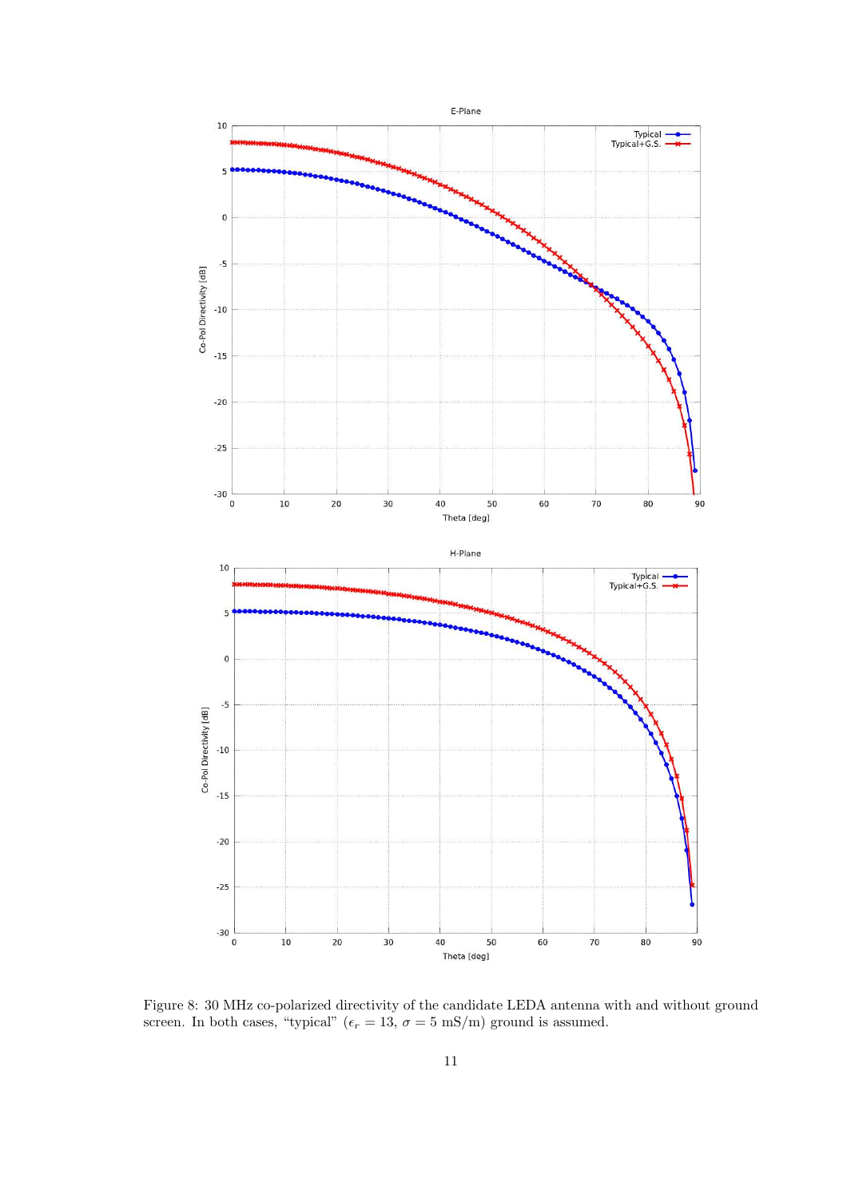

Figure 8: 30 MHz co-polarized directivity of the candidate LEDA antenna with and without ground screen. In both cases, "typical" ( $\epsilon_r = 13$ ,  $\sigma = 5$  mS/m) ground is assumed.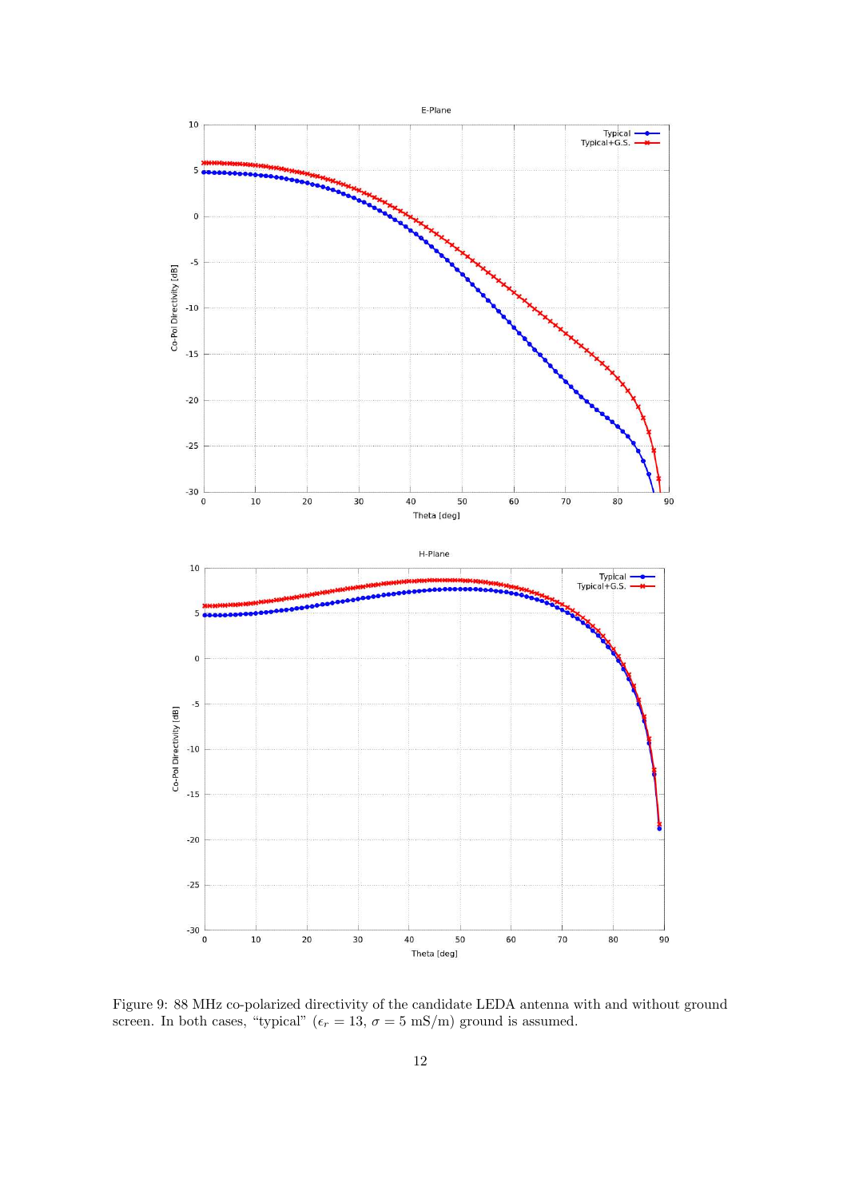

Figure 9: 88 MHz co-polarized directivity of the candidate LEDA antenna with and without ground screen. In both cases, "typical" ( $\epsilon_r = 13$ ,  $\sigma = 5$  mS/m) ground is assumed.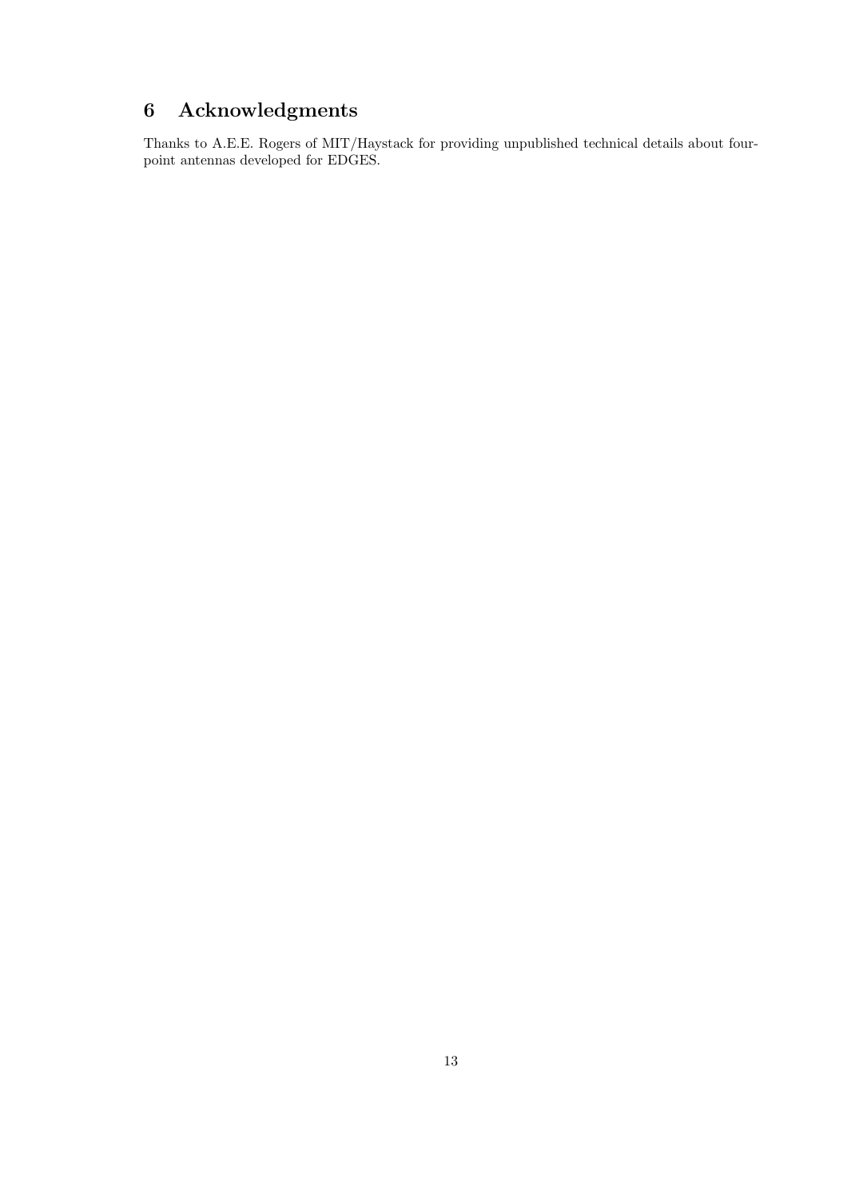## 6 Acknowledgments

Thanks to A.E.E. Rogers of MIT/Haystack for providing unpublished technical details about fourpoint antennas developed for EDGES.